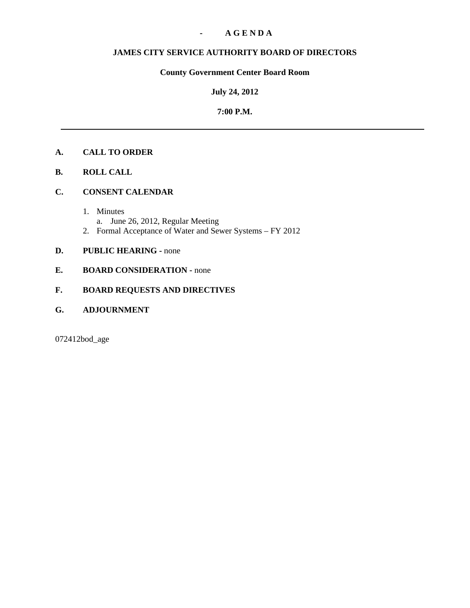## **- A G E N D A**

# **JAMES CITY SERVICE AUTHORITY BOARD OF DIRECTORS**

# **County Government Center Board Room**

## **July 24, 2012**

## **7:00 P.M.**

# **A. CALL TO ORDER**

- **B. ROLL CALL**
- **C. CONSENT CALENDAR** 
	- 1. Minutes
		- a. June 26, 2012, Regular Meeting
	- 2. Formal Acceptance of Water and Sewer Systems FY 2012

# **D. PUBLIC HEARING - none**

**E. BOARD CONSIDERATION - none** 

## **F. BOARD REQUESTS AND DIRECTIVES**

**G. ADJOURNMENT**

072412bod\_age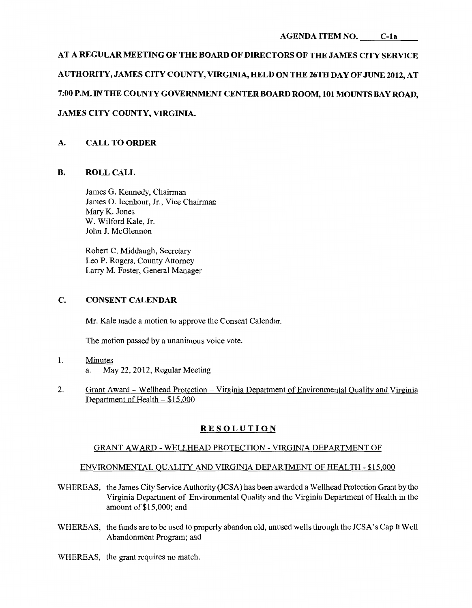# **AT A REGULAR MEETING OF THE BOARD OF DIRECTORS OF THE JAMES CITY SERVICE AUTHORITY, JAMES CITY COUNTY, VIRGINIA, HELD ON THE 26TH DAY OF JUNE 2012, AT 7:00P.M. IN THE COUNTY GOVERNMENT CENTERBOARD ROOM, 101 MOUNTSBAYROAD, JAMES CITY COUNTY, VIRGINIA.**

# **A. CALL TO ORDER**

## **B. ROLLCALL**

James G. Kennedy, Chairman James 0. Icenhour, Jr., Vice Chairman Mary K. Jones W. Wilford Kale, Jr. John J. McGlennon

Robert C. Middaugh, Secretary Leo P. Rogers, County Attorney Larry M. Foster, General Manager

## **C. CONSENT CALENDAR**

Mr. Kale made a motion to approve the Consent Calendar.

The motion passed by a unanimous voice vote.

- 1. Minutes a. May 22,2012, Regular Meeting
- 2. Grant Award- Wellhead Protection Virginia Department of Environmental Quality and Virginia Department of Health- \$15,000

## **RESOLUTION**

## GRANT AWARD- WELLHEAD PROTECTION- VIRGINIA DEPARTMENT OF

### ENVIRONMENTAL QUALITY AND VIRGINIA DEPARTMENT OF HEALTH- \$15,000

- WHEREAS, the James City Service Authority (JCSA) has been awarded a Wellhead Protection Grant by the Virginia Department of Environmental Quality and the Virginia Department of Health in the amount of\$15,000; and
- WHEREAS, the funds are to be used to properly abandon old, unused wells through the JCSA's Cap It Well Abandonment Program; and
- WHEREAS, the grant requires no match.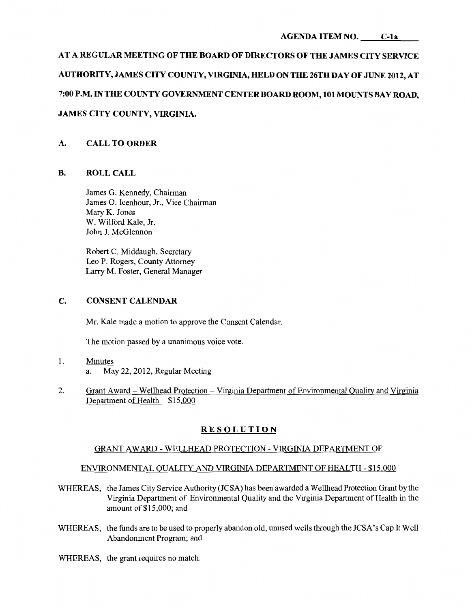# **AT A REGULAR MEETING OF THE BOARD OF DIRECTORS OF THE JAMES CITY SERVICE AUTHORITY, JAMES CITY COUNTY, VIRGINIA, HELD ON THE 26TH DAY OF JUNE 2012, AT 7:00P.M. IN THE COUNTY GOVERNMENT CENTER BOARD ROOM, 101 MOUNTS BAY ROAD, JAMES CITY COUNTY, VIRGINIA.**

# **A. CALL TO ORDER**

## **B. ROLLCALL**

James G. Kennedy, Chairman James 0. Icenhour, Jr., Vice Chairman Mary K. Jones W. Wilford Kale, Jr. John J. McGlennon

Robert C. Middaugh, Secretary Leo P. Rogers, County Attorney Larry M. Foster, General Manager

# **C. CONSENT CALENDAR**

Mr. Kale made a motion to approve the Consent Calendar.

The motion passed by a unanimous voice vote.

- 1. Minutes a. May 22, 2012, Regular Meeting
- 2. Grant Award Wellhead Protection Virginia Department of Environmental Quality and Virginia Department of Health- \$15,000

# **RESOLUTION**

## GRANT AWARD- WELLHEAD PROTECTION- VIRGINIA DEPARTMENT OF

## ENVIRONMENTAL QUALITY AND VIRGINIA DEPARTMENT OF HEALTH- \$15,000

- WHEREAS, the James City Service Authority (JCSA) has been awarded a Wellhead Protection Grant by the Virginia Department of Environmental Quality and the Virginia Department of Health in the amount of \$15,000; and
- WHEREAS, the funds are to be used to properly abandon old, unused wells through the JCSA's Cap It Well Abandonment Program; and
- WHEREAS, the grant requires no match.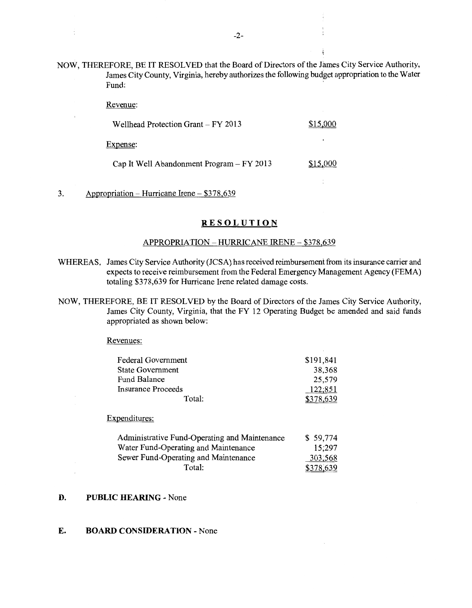NOW, THEREFORE, BE IT RESOLVED that the Board of Directors of the James City Service Authority, James City County, Virginia, hereby authorizes the following budget appropriation to the Water **Fund:**  $\qquad \qquad$ 

Revenue:

÷

| Wellhead Protection Grant $-$ FY 2013 | \$15,000 |
|---------------------------------------|----------|
| Expense:                              |          |

Cap It Well Abandonment Program  $-$  FY 2013  $\qquad \qquad$ \$15,000

## 3. Appropriation – Hurricane Irene –  $$378,639$

#### **RESOLUTION**

#### APPROPRIATION- HURRICANE IRENE- \$378,639

- WHEREAS, James City Service Authority (JCSA) has received reimbursement from its insurance carrier and expects to receive reimbursement from the Federal Emergency Management Agency (FEMA) totaling \$378,639 for Hurricane Irene related damage costs.
- NOW, THEREFORE, BE IT RESOLVED by the Board of Directors of the James City Service Authority, James City County, Virginia, that the FY 12 Operating Budget be amended and said funds appropriated as shown below:

Revenues:

| <b>Federal Government</b> | \$191,841 |
|---------------------------|-----------|
| <b>State Government</b>   | 38,368    |
| Fund Balance              | 25,579    |
| <b>Insurance Proceeds</b> | 122,851   |
| Total:                    | \$378,639 |
|                           |           |

Expenditures:

| Administrative Fund-Operating and Maintenance | \$59,774  |
|-----------------------------------------------|-----------|
| Water Fund-Operating and Maintenance          | 15:297    |
| Sewer Fund-Operating and Maintenance          | 303,568   |
| Total:                                        | \$378,639 |

## **D. PUBLIC HEARING-** None

## **E. BOARD CONSIDERATION-** None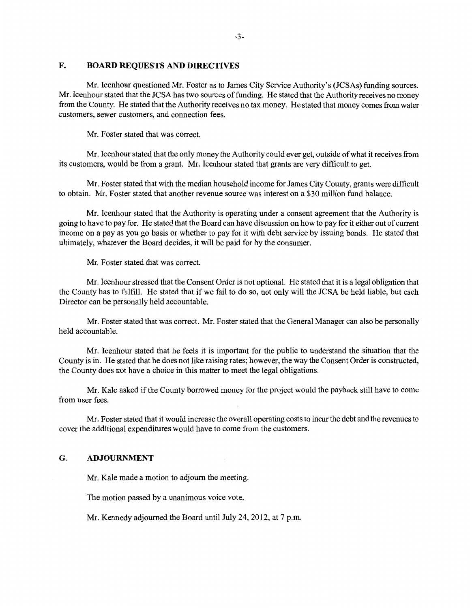#### **F. BOARD REQUESTS AND DIRECTIVES**

Mr. Icenhour questioned Mr. Foster as to James City Service Authority's (JCSAs) funding sources. Mr. Icenhour stated that the JCSA has two sources of funding. He stated that the Authority receives no money from the County. He stated that the Authority receives no tax money. He stated that money comes from water customers, sewer customers, and connection fees.

Mr. Foster stated that was correct.

Mr. Icenhour stated that the only money the Authority could ever get, outside of what it receives from its customers, would be from a grant. Mr. Icenhour stated that grants are very difficult to get.

Mr. Foster stated that with the median household income for James City County, grants were difficult to obtain. Mr. Foster stated that another revenue source was interest on a \$30 million fund balance.

Mr. Icenhour stated that the Authority is operating under a consent agreement that the Authority is going to have to pay for. He stated that the Board can have discussion on how to pay for it either out of current income on a pay as you go basis or whether to pay for it with debt service by issuing bonds. He stated that ultimately, whatever the Board decides, it will be paid for by the consumer.

Mr. Foster stated that was correct.

Mr. Icenhour stressed that the Consent Order is not optional. He stated that it is a legal obligation that the County has to fulfill. He stated that if we fail to do so, not only will the JCSA be held liable, but each Director can be personally held accountable.

Mr. Foster stated that was correct. Mr. Foster stated that the General Manager can also be personally held accountable.

Mr. Icenhour stated that he feels it is important for the public to understand the situation that the County is in. He stated that he does not like raising rates; however, the way the Consent Order is constructed, the County does not have a choice in this matter to meet the legal obligations.

Mr. Kale asked if the County borrowed money for the project would the payback still have to come from user fees.

Mr. Foster stated that it would increase the overall operating costs to incur the debt and the revenues to cover the additional expenditures would have to come from the customers.

#### **G. ADJOURNMENT**

Mr. Kale made a motion to adjourn the meeting.

The motion passed by a unanimous voice vote.

Mr. Kennedy adjourned the Board until July 24, 2012, at 7 p.m.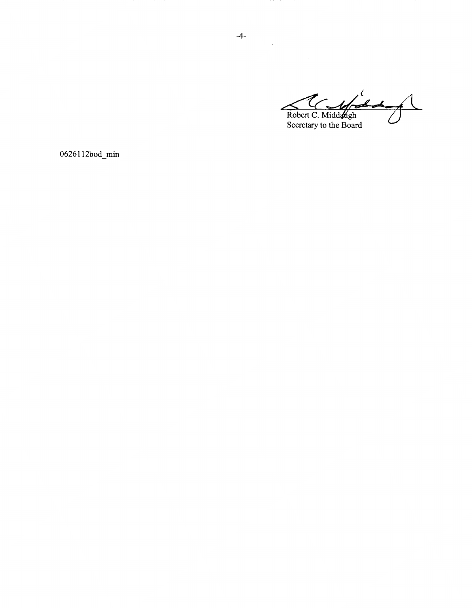und  $\overline{\mathcal{C}}$  $\overline{\mathcal{L}}$ Robert C. Middaugh<br>Secretary to the Board

 $\bar{z}$ 

0626112bod\_min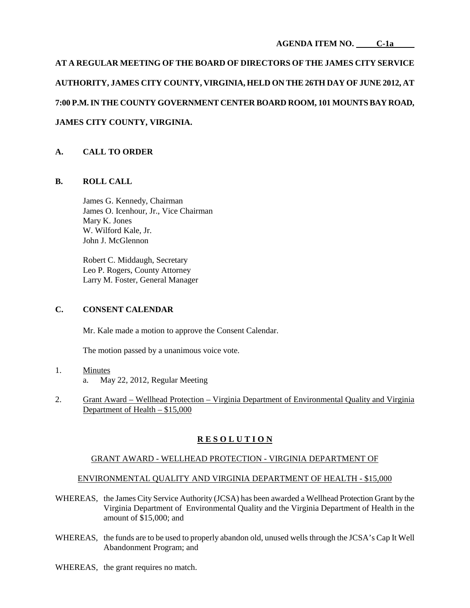#### **AGENDA ITEM NO. C-1a**

**AT A REGULAR MEETING OF THE BOARD OF DIRECTORS OF THE JAMES CITY SERVICE AUTHORITY, JAMES CITY COUNTY, VIRGINIA, HELD ON THE 26TH DAY OF JUNE 2012, AT 7:00 P.M. IN THE COUNTY GOVERNMENT CENTER BOARD ROOM, 101 MOUNTS BAY ROAD, JAMES CITY COUNTY, VIRGINIA.**

# **A. CALL TO ORDER**

## **B. ROLL CALL**

James G. Kennedy, Chairman James O. Icenhour, Jr., Vice Chairman Mary K. Jones W. Wilford Kale, Jr. John J. McGlennon

Robert C. Middaugh, Secretary Leo P. Rogers, County Attorney Larry M. Foster, General Manager

## **C. CONSENT CALENDAR**

Mr. Kale made a motion to approve the Consent Calendar.

The motion passed by a unanimous voice vote.

- 1. Minutes a. May 22, 2012, Regular Meeting
- 2. Grant Award Wellhead Protection Virginia Department of Environmental Quality and Virginia Department of Health – \$15,000

# **R E S O L U T I O N**

## GRANT AWARD - WELLHEAD PROTECTION - VIRGINIA DEPARTMENT OF

## ENVIRONMENTAL QUALITY AND VIRGINIA DEPARTMENT OF HEALTH - \$15,000

- WHEREAS, the James City Service Authority (JCSA) has been awarded a Wellhead Protection Grant by the Virginia Department of Environmental Quality and the Virginia Department of Health in the amount of \$15,000; and
- WHEREAS, the funds are to be used to properly abandon old, unused wells through the JCSA's Cap It Well Abandonment Program; and
- WHEREAS, the grant requires no match.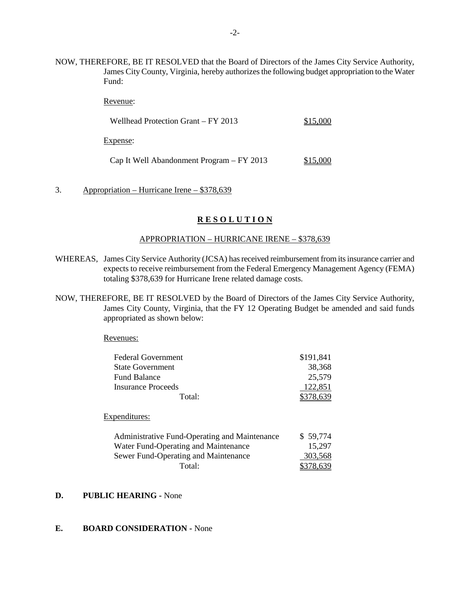NOW, THEREFORE, BE IT RESOLVED that the Board of Directors of the James City Service Authority, James City County, Virginia, hereby authorizes the following budget appropriation to the Water Fund:

Revenue:

Wellhead Protection Grant – FY 2013 \$15,000

Expense:

Cap It Well Abandonment Program – FY 2013 \$15,000

3. Appropriation – Hurricane Irene – \$378,639

## **R E S O L U T I O N**

#### APPROPRIATION – HURRICANE IRENE – \$378,639

- WHEREAS, James City Service Authority (JCSA) has received reimbursement from its insurance carrier and expects to receive reimbursement from the Federal Emergency Management Agency (FEMA) totaling \$378,639 for Hurricane Irene related damage costs.
- NOW, THEREFORE, BE IT RESOLVED by the Board of Directors of the James City Service Authority, James City County, Virginia, that the FY 12 Operating Budget be amended and said funds appropriated as shown below:

Revenues:

| <b>Federal Government</b>                     | \$191,841 |
|-----------------------------------------------|-----------|
| <b>State Government</b>                       | 38,368    |
| <b>Fund Balance</b>                           | 25,579    |
| <b>Insurance Proceeds</b>                     | 122,851   |
| Total:                                        | \$378,639 |
| Expenditures:                                 |           |
| Administrative Fund-Operating and Maintenance | \$59,774  |
| Water Fund-Operating and Maintenance          | 15,297    |
| Sewer Fund-Operating and Maintenance          | 303,568   |
| Total:                                        |           |

## **D. PUBLIC HEARING -** None

# **E. BOARD CONSIDERATION -** None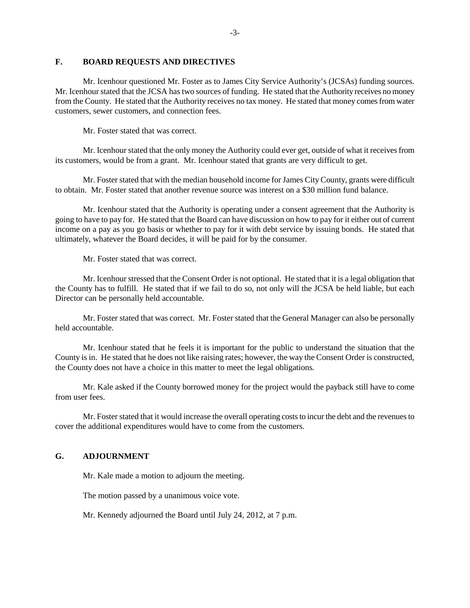#### **F. BOARD REQUESTS AND DIRECTIVES**

Mr. Icenhour questioned Mr. Foster as to James City Service Authority's (JCSAs) funding sources. Mr. Icenhour stated that the JCSA has two sources of funding. He stated that the Authority receives no money from the County. He stated that the Authority receives no tax money. He stated that money comes from water customers, sewer customers, and connection fees.

Mr. Foster stated that was correct.

Mr. Icenhour stated that the only money the Authority could ever get, outside of what it receives from its customers, would be from a grant. Mr. Icenhour stated that grants are very difficult to get.

Mr. Foster stated that with the median household income for James City County, grants were difficult to obtain. Mr. Foster stated that another revenue source was interest on a \$30 million fund balance.

Mr. Icenhour stated that the Authority is operating under a consent agreement that the Authority is going to have to pay for. He stated that the Board can have discussion on how to pay for it either out of current income on a pay as you go basis or whether to pay for it with debt service by issuing bonds. He stated that ultimately, whatever the Board decides, it will be paid for by the consumer.

Mr. Foster stated that was correct.

Mr. Icenhour stressed that the Consent Order is not optional. He stated that it is a legal obligation that the County has to fulfill. He stated that if we fail to do so, not only will the JCSA be held liable, but each Director can be personally held accountable.

Mr. Foster stated that was correct. Mr. Foster stated that the General Manager can also be personally held accountable.

Mr. Icenhour stated that he feels it is important for the public to understand the situation that the County is in. He stated that he does not like raising rates; however, the way the Consent Order is constructed, the County does not have a choice in this matter to meet the legal obligations.

Mr. Kale asked if the County borrowed money for the project would the payback still have to come from user fees.

Mr. Foster stated that it would increase the overall operating costs to incur the debt and the revenues to cover the additional expenditures would have to come from the customers.

## **G. ADJOURNMENT**

Mr. Kale made a motion to adjourn the meeting.

The motion passed by a unanimous voice vote.

Mr. Kennedy adjourned the Board until July 24, 2012, at 7 p.m.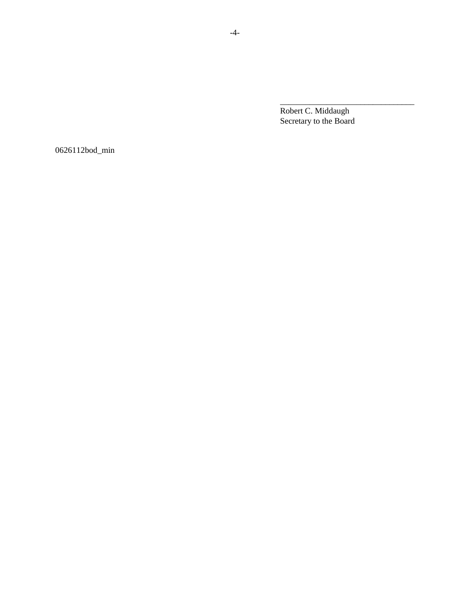Robert C. Middaugh Secretary to the Board

\_\_\_\_\_\_\_\_\_\_\_\_\_\_\_\_\_\_\_\_\_\_\_\_\_\_\_\_\_\_\_\_

0626112bod\_min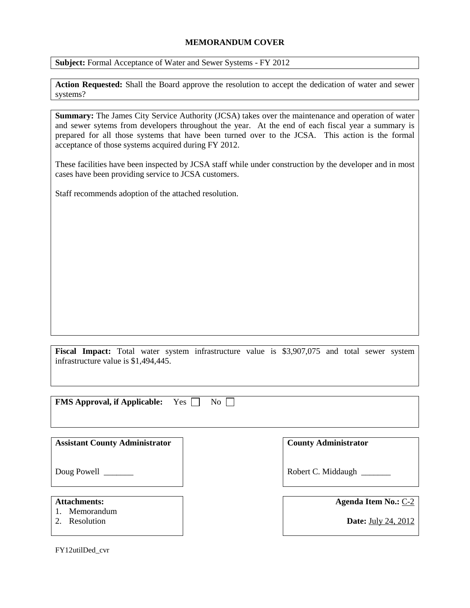## **MEMORANDUM COVER**

**Subject:** Formal Acceptance of Water and Sewer Systems - FY 2012

**Action Requested:** Shall the Board approve the resolution to accept the dedication of water and sewer systems?

**Summary:** The James City Service Authority (JCSA) takes over the maintenance and operation of water and sewer sytems from developers throughout the year. At the end of each fiscal year a summary is prepared for all those systems that have been turned over to the JCSA. This action is the formal acceptance of those systems acquired during FY 2012.

These facilities have been inspected by JCSA staff while under construction by the developer and in most cases have been providing service to JCSA customers.

Staff recommends adoption of the attached resolution.

**Fiscal Impact:** Total water system infrastructure value is \$3,907,075 and total sewer system infrastructure value is \$1,494,445.

**FMS Approval, if Applicable:** Yes  $\Box$  No

**Assistant County Administrator**

**County Administrator**

Robert C. Middaugh \_\_\_\_\_\_\_

**Attachments:**

1. Memorandum

Doug Powell \_\_\_\_\_\_\_\_

2. Resolution

**Agenda Item No.:** C-2

**Date:** July 24, 2012

FY12utilDed\_cvr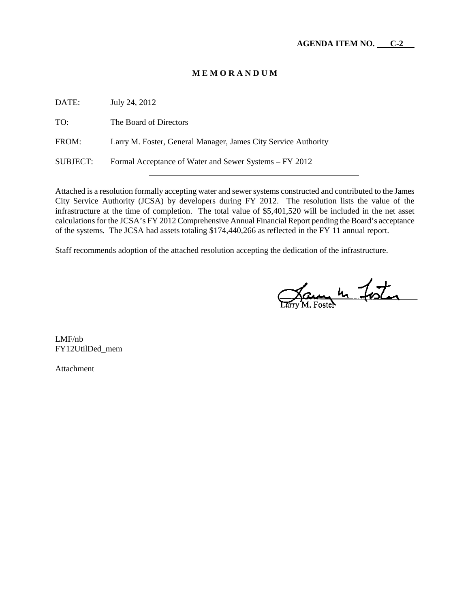## **M E M O R A N D U M**

DATE: July 24, 2012 TO: The Board of Directors FROM: Larry M. Foster, General Manager, James City Service Authority SUBJECT: Formal Acceptance of Water and Sewer Systems – FY 2012

Attached is a resolution formally accepting water and sewer systems constructed and contributed to the James City Service Authority (JCSA) by developers during FY 2012. The resolution lists the value of the infrastructure at the time of completion. The total value of \$5,401,520 will be included in the net asset calculations for the JCSA's FY 2012 Comprehensive Annual Financial Report pending the Board's acceptance of the systems. The JCSA had assets totaling \$174,440,266 as reflected in the FY 11 annual report.

Staff recommends adoption of the attached resolution accepting the dedication of the infrastructure.

James In Fister

LMF/nb FY12UtilDed\_mem

Attachment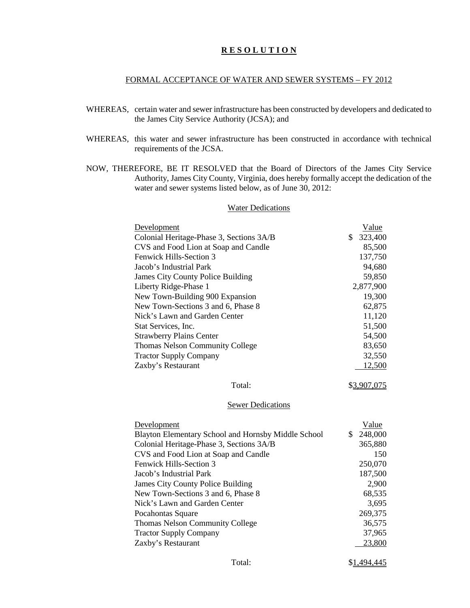## **R E S O L U T I O N**

#### FORMAL ACCEPTANCE OF WATER AND SEWER SYSTEMS – FY 2012

- WHEREAS, certain water and sewer infrastructure has been constructed by developers and dedicated to the James City Service Authority (JCSA); and
- WHEREAS, this water and sewer infrastructure has been constructed in accordance with technical requirements of the JCSA.
- NOW, THEREFORE, BE IT RESOLVED that the Board of Directors of the James City Service Authority, James City County, Virginia, does hereby formally accept the dedication of the water and sewer systems listed below, as of June 30, 2012:

#### Water Dedications

| Development                                         | Value         |
|-----------------------------------------------------|---------------|
| Colonial Heritage-Phase 3, Sections 3A/B            | \$<br>323,400 |
| CVS and Food Lion at Soap and Candle                | 85,500        |
| Fenwick Hills-Section 3                             | 137,750       |
| Jacob's Industrial Park                             | 94,680        |
| James City County Police Building                   | 59,850        |
| Liberty Ridge-Phase 1                               | 2,877,900     |
| New Town-Building 900 Expansion                     | 19,300        |
| New Town-Sections 3 and 6, Phase 8                  | 62,875        |
| Nick's Lawn and Garden Center                       | 11,120        |
| Stat Services, Inc.                                 | 51,500        |
| <b>Strawberry Plains Center</b>                     | 54,500        |
| <b>Thomas Nelson Community College</b>              | 83,650        |
| <b>Tractor Supply Company</b>                       | 32,550        |
| Zaxby's Restaurant                                  | 12,500        |
| Total:                                              | \$3,907,075   |
| <b>Sewer Dedications</b>                            |               |
| Development                                         | Value         |
| Blayton Elementary School and Hornsby Middle School | \$<br>248,000 |
| Colonial Heritage-Phase 3, Sections 3A/B            | 365,880       |
| CVS and Food Lion at Soap and Candle                | 150           |
| Fenwick Hills-Section 3                             | 250,070       |
| Jacob's Industrial Park                             | 187,500       |
| James City County Police Building                   | 2,900         |
| New Town-Sections 3 and 6, Phase 8                  | 68,535        |
| Nick's Lawn and Garden Center                       | 3,695         |
| Pocahontas Square                                   | 269,375       |
| <b>Thomas Nelson Community College</b>              | 36,575        |
| <b>Tractor Supply Company</b>                       | 37,965        |
| Zaxby's Restaurant                                  | 23,800        |
|                                                     |               |